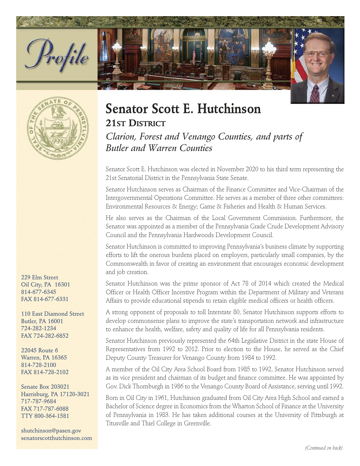



229 Elm Street Oil City, PA 16301 814-677-6345 FAX 814-677-6331

110 East Diamond Street Butler, PA 16001 724-282-1234 FAX 724-282-6852

22045 Route 6 Warren, PA 16365 814-728-2100 FAX 814-728-2102

Senate Box 203021 Harrisburg, PA 17120-3021 717-787-9684 FAX 717-787-6088 TTY 800-364-1581

shutchinson@pasen.gov senatorscotthutchinson.com

## **Senator Scott E. Hutchinson 21ST DISTRICT**

Clarion, Forest and Venango Counties, and parts of Butler and Warren Counties

Senator Scott E. Hutchinson was elected in November 2020 to his third term representing the 21st Senatorial District in the Pennsylvania State Senate.

Senator Hutchinson serves as Chairman of the Finance Committee and Vice-Chairman of the Intergovernmental Operations Committee. He serves as a member of three other committees: Environmental Resources & Energy; Game & Fisheries and Health & Human Services.

He also serves as the Chairman of the Local Government Commission. Furthermore, the Senator was appointed as a member of the Pennsylvania Grade Crude Development Advisory Council and the Pennsylvania Hardwoods Development Council.

Senator Hutchinson is committed to improving Pennsylvania's business climate by supporting efforts to lift the onerous burdens placed on employers, particularly small companies, by the Commonwealth in favor of creating an environment that encourages economic development and job creation.

Senator Hutchinson was the prime sponsor of Act 78 of 2014 which created the Medical Officer or Health Officer Incentive Program within the Department of Military and Veterans Affairs to provide educational stipends to retain eligible medical officers or health officers.

A strong opponent of proposals to toll Interstate 80, Senator Hutchinson supports efforts to develop commonsense plans to improve the state's transportation network and infrastructure to enhance the health, welfare, safety and quality of life for all Pennsylvania residents.

Senator Hutchinson previously represented the 64th Legislative District in the state House of Representatives from 1992 to 2012. Prior to election to the House, he served as the Chief Deputy County Treasurer for Venango County from 1984 to 1992.

A member of the Oil City Area School Board from 1985 to 1992, Senator Hutchinson served as its vice president and chairman of its budget and finance committee. He was appointed by Gov. Dick Thornburgh in 1986 to the Venango County Board of Assistance, serving until 1992.

Born in Oil City in 1961, Hutchinson graduated from Oil City Area High School and earned a Bachelor of Science degree in Economics from the Wharton School of Finance at the University of Pennsylvania in 1983. He has taken additional courses at the University of Pittsburgh at Titusville and Thiel College in Greenville.